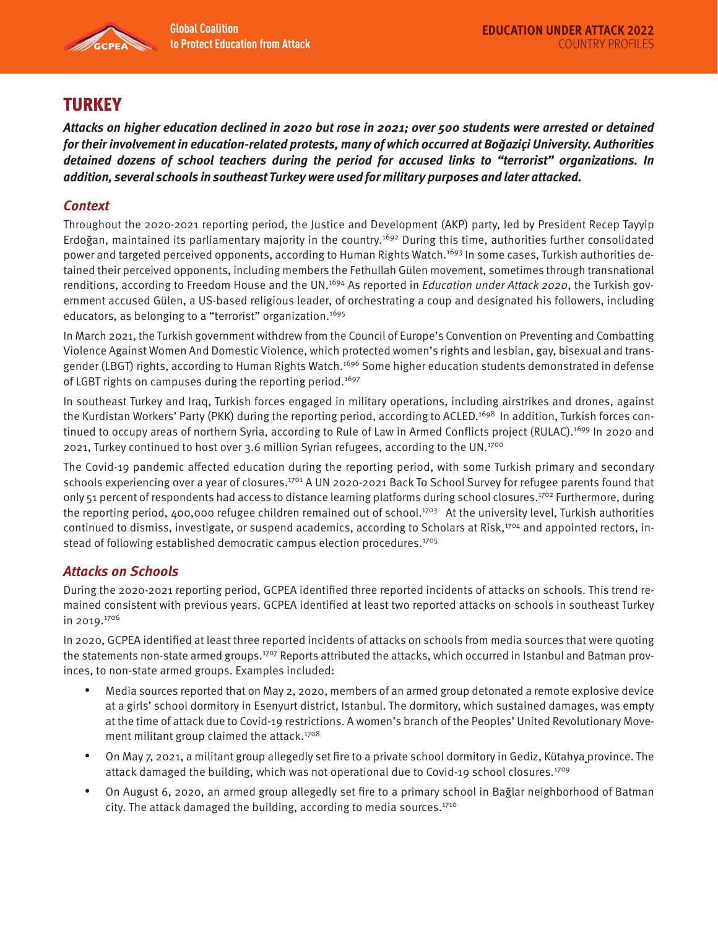

# **TURKEY**

**Attacks on higher education declined in 2020 but rose in 2021; over 500 students were arrested or detained for their involvement in education-related protests, many of which occurred at Boğaziçi University. Authorities detained dozens of school teachers during the period for accused links to "terrorist" organizations. In addition, several schools in southeast Turkey were used for military purposes and later attacked.** 

# **Context**

Throughout the 2020-2021 reporting period, the Justice and Development (AKP) party, led by President Recep Tayyip Erdoğan, maintained its parliamentary majority in the country.1692 During this time, authorities further consolidated power and targeted perceived opponents, according to Human Rights Watch.<sup>1693</sup> In some cases, Turkish authorities detained their perceived opponents, including members the Fethullah Gülen movement, sometimes through transnational renditions, according to Freedom House and the UN.<sup>1694</sup> As reported in *Education under Attack 2020*, the Turkish government accused Gülen, a US-based religious leader, of orchestrating a coup and designated his followers, including educators, as belonging to a "terrorist" organization.<sup>1695</sup>

In March 2021, the Turkish government withdrew from the Council of Europe's Convention on Preventing and Combatting Violence Against Women And Domestic Violence, which protected women's rights and lesbian, gay, bisexual and transgender (LBGT) rights, according to Human Rights Watch.<sup>1696</sup> Some higher education students demonstrated in defense of LGBT rights on campuses during the reporting period.<sup>1697</sup>

In southeast Turkey and Iraq, Turkish forces engaged in military operations, including airstrikes and drones, against the Kurdistan Workers' Party (PKK) during the reporting period, according to ACLED.<sup>1698</sup> In addition, Turkish forces continued to occupy areas of northern Syria, according to Rule of Law in Armed Conflicts project (RULAC).<sup>1699</sup> In 2020 and 2021, Turkey continued to host over 3.6 million Syrian refugees, according to the UN.<sup>1700</sup>

The Covid-19 pandemic affected education during the reporting period, with some Turkish primary and secondary schools experiencing over a year of closures.<sup>1701</sup> A UN 2020-2021 Back To School Survey for refugee parents found that only 51 percent of respondents had access to distance learning platforms during school closures.1702 Furthermore, during the reporting period, 400,000 refugee children remained out of school.<sup>1703</sup> At the university level, Turkish authorities continued to dismiss, investigate, or suspend academics, according to Scholars at Risk,<sup>1704</sup> and appointed rectors, instead of following established democratic campus election procedures.<sup>1705</sup>

## **Attacks on Schools**

During the 2020-2021 reporting period, GCPEA identified three reported incidents of attacks on schools. This trend remained consistent with previous years. GCPEA identified at least two reported attacks on schools in southeast Turkey in 2019.1706

In 2020, GCPEA identified at least three reported incidents of attacks on schools from media sources that were quoting the statements non-state armed groups.<sup>1707</sup> Reports attributed the attacks, which occurred in Istanbul and Batman provinces, to non-state armed groups. Examples included:

- Media sources reported that on May 2, 2020, members of an armed group detonated a remote explosive device at a girls' school dormitory in Esenyurt district, Istanbul. The dormitory, which sustained damages, was empty at the time of attack due to Covid-19 restrictions. A women's branch of the Peoples' United Revolutionary Movement militant group claimed the attack.<sup>1708</sup>
- On May 7, 2021, a militant group allegedly set fire to a private school dormitory in Gediz, Kütahya province. The attack damaged the building, which was not operational due to Covid-19 school closures.<sup>1709</sup>
- On August 6, 2020, an armed group allegedly set fire to a primary school in Bağlar neighborhood of Batman city. The attack damaged the building, according to media sources. $1710$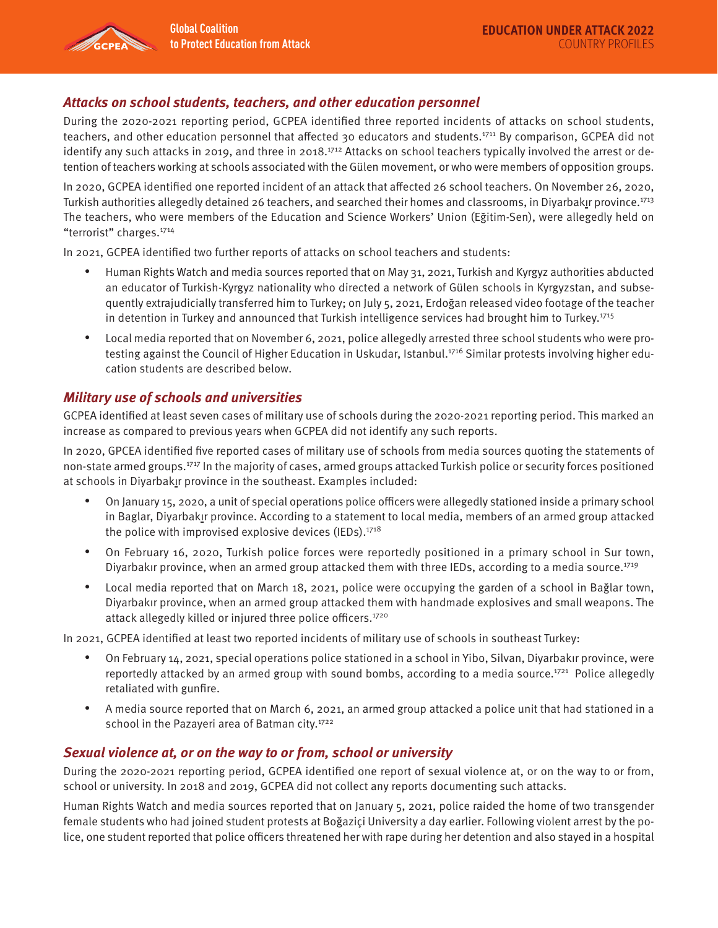# **Attacks on school students, teachers, and other education personnel**

During the 2020-2021 reporting period, GCPEA identified three reported incidents of attacks on school students, teachers, and other education personnel that affected 30 educators and students.<sup>1711</sup> By comparison, GCPEA did not identify any such attacks in 2019, and three in 2018.<sup>1712</sup> Attacks on school teachers typically involved the arrest or detention of teachers working at schools associated with the Gülen movement, or who were members of opposition groups.

In 2020, GCPEA identified one reported incident of an attack that affected 26 school teachers. On November 26, 2020, Turkish authorities allegedly detained 26 teachers, and searched their homes and classrooms, in Diyarbakır province.1713 The teachers, who were members of the Education and Science Workers' Union (Eğitim-Sen), were allegedly held on "terrorist" charges.<sup>1714</sup>

In 2021, GCPEA identified two further reports of attacks on school teachers and students:

- Human Rights Watch and media sources reported that on May 31, 2021, Turkish and Kyrgyz authorities abducted an educator of Turkish-Kyrgyz nationality who directed a network of Gülen schools in Kyrgyzstan, and subsequently extrajudicially transferred him to Turkey; on July 5, 2021, Erdoğan released video footage of the teacher in detention in Turkey and announced that Turkish intelligence services had brought him to Turkey.1715
- Local media reported that on November 6, 2021, police allegedly arrested three school students who were protesting against the Council of Higher Education in Uskudar, Istanbul.<sup>1716</sup> Similar protests involving higher education students are described below.

### **Military use of schools and universities**

GCPEA identified at least seven cases of military use of schools during the 2020-2021 reporting period. This marked an increase as compared to previous years when GCPEA did not identify any such reports.

In 2020, GPCEA identified five reported cases of military use of schools from media sources quoting the statements of non-state armed groups.1717 In the majority of cases, armed groups attacked Turkish police or security forces positioned at schools in Diyarbakır province in the southeast. Examples included:

- On January 15, 2020, a unit of special operations police officers were allegedly stationed inside a primary school in Baglar, Diyarbakır province. According to a statement to local media, members of an armed group attacked the police with improvised explosive devices (IEDs).<sup>1718</sup>
- On February 16, 2020, Turkish police forces were reportedly positioned in a primary school in Sur town, Diyarbakır province, when an armed group attacked them with three IEDs, according to a media source.<sup>1719</sup>
- Local media reported that on March 18, 2021, police were occupying the garden of a school in Bağlar town, Diyarbakır province, when an armed group attacked them with handmade explosives and small weapons. The attack allegedly killed or injured three police officers.<sup>1720</sup>

In 2021, GCPEA identified at least two reported incidents of military use of schools in southeast Turkey:

- On February 14, 2021, special operations police stationed in a school in Yibo, Silvan, Diyarbakır province, were reportedly attacked by an armed group with sound bombs, according to a media source.<sup>1721</sup> Police allegedly retaliated with gunfire.
- A media source reported that on March 6, 2021, an armed group attacked a police unit that had stationed in a school in the Pazayeri area of Batman city.<sup>1722</sup>

#### **Sexual violence at, or on the way to or from, school or university**

During the 2020-2021 reporting period, GCPEA identified one report of sexual violence at, or on the way to or from, school or university. In 2018 and 2019, GCPEA did not collect any reports documenting such attacks.

Human Rights Watch and media sources reported that on January 5, 2021, police raided the home of two transgender female students who had joined student protests at Boğaziçi University a day earlier. Following violent arrest by the police, one student reported that police officers threatened her with rape during her detention and also stayed in a hospital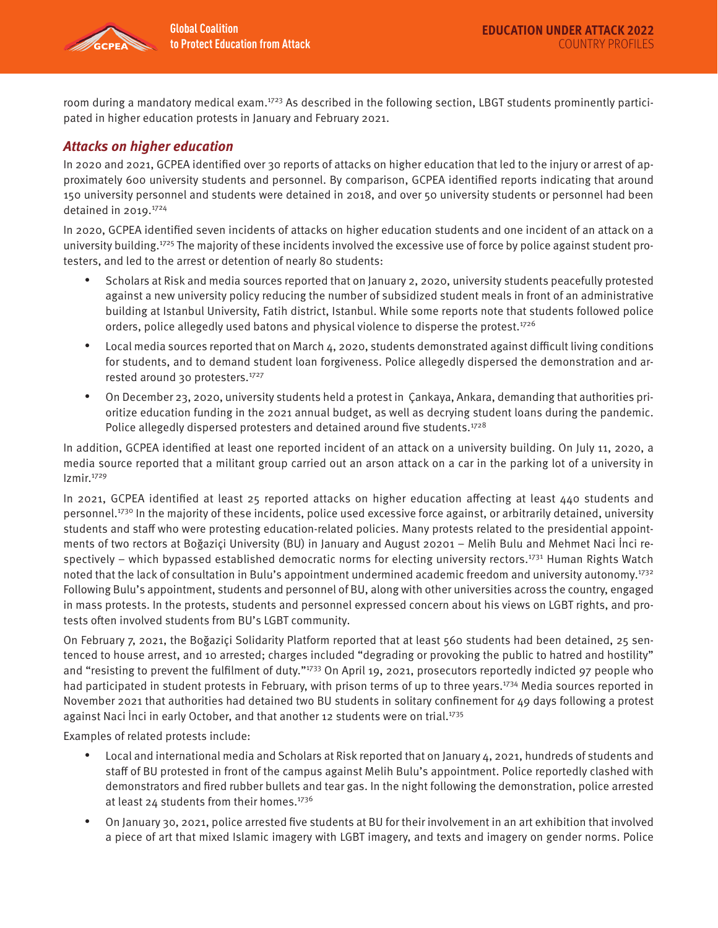

room during a mandatory medical exam.<sup>1723</sup> As described in the following section, LBGT students prominently participated in higher education protests in January and February 2021.

# **Attacks on higher education**

In 2020 and 2021, GCPEA identified over 30 reports of attacks on higher education that led to the injury or arrest of approximately 600 university students and personnel. By comparison, GCPEA identified reports indicating that around 150 university personnel and students were detained in 2018, and over 50 university students or personnel had been detained in 2019. $1724$ 

In 2020, GCPEA identified seven incidents of attacks on higher education students and one incident of an attack on a university building.<sup>1725</sup> The majority of these incidents involved the excessive use of force by police against student protesters, and led to the arrest or detention of nearly 80 students:

- Scholars at Risk and media sources reported that on January 2, 2020, university students peacefully protested against a new university policy reducing the number of subsidized student meals in front of an administrative building at Istanbul University, Fatih district, Istanbul. While some reports note that students followed police orders, police allegedly used batons and physical violence to disperse the protest.<sup>1726</sup>
- Local media sources reported that on March 4, 2020, students demonstrated against difficult living conditions for students, and to demand student loan forgiveness. Police allegedly dispersed the demonstration and arrested around 30 protesters.<sup>1727</sup>
- On December 23, 2020, university students held a protest in Çankaya, Ankara, demanding that authorities prioritize education funding in the 2021 annual budget, as well as decrying student loans during the pandemic. Police allegedly dispersed protesters and detained around five students.<sup>1728</sup>

In addition, GCPEA identified at least one reported incident of an attack on a university building. On July 11, 2020, a media source reported that a militant group carried out an arson attack on a car in the parking lot of a university in Izmir.1729

In 2021, GCPEA identified at least 25 reported attacks on higher education affecting at least 440 students and personnel.<sup>1730</sup> In the majority of these incidents, police used excessive force against, or arbitrarily detained, university students and staff who were protesting education-related policies. Many protests related to the presidential appointments of two rectors at Boğaziçi University (BU) in January and August 20201 – Melih Bulu and Mehmet Naci İnci respectively – which bypassed established democratic norms for electing university rectors.<sup>1731</sup> Human Rights Watch noted that the lack of consultation in Bulu's appointment undermined academic freedom and university autonomy.<sup>1732</sup> Following Bulu's appointment, students and personnel of BU, along with other universities across the country, engaged in mass protests. In the protests, students and personnel expressed concern about his views on LGBT rights, and protests often involved students from BU's LGBT community.

On February 7, 2021, the Boğaziçi Solidarity Platform reported that at least 560 students had been detained, 25 sentenced to house arrest, and 10 arrested; charges included "degrading or provoking the public to hatred and hostility" and "resisting to prevent the fulfilment of duty."<sup>1733</sup> On April 19, 2021, prosecutors reportedly indicted 97 people who had participated in student protests in February, with prison terms of up to three years.<sup>1734</sup> Media sources reported in November 2021 that authorities had detained two BU students in solitary confinement for 49 days following a protest against Naci Inci in early October, and that another 12 students were on trial.<sup>1735</sup>

Examples of related protests include:

- Local and international media and Scholars at Risk reported that on January 4, 2021, hundreds of students and staff of BU protested in front of the campus against Melih Bulu's appointment. Police reportedly clashed with demonstrators and fired rubber bullets and tear gas. In the night following the demonstration, police arrested at least 24 students from their homes.<sup>1736</sup>
- On January 30, 2021, police arrested five students at BU for their involvement in an art exhibition that involved a piece of art that mixed Islamic imagery with LGBT imagery, and texts and imagery on gender norms. Police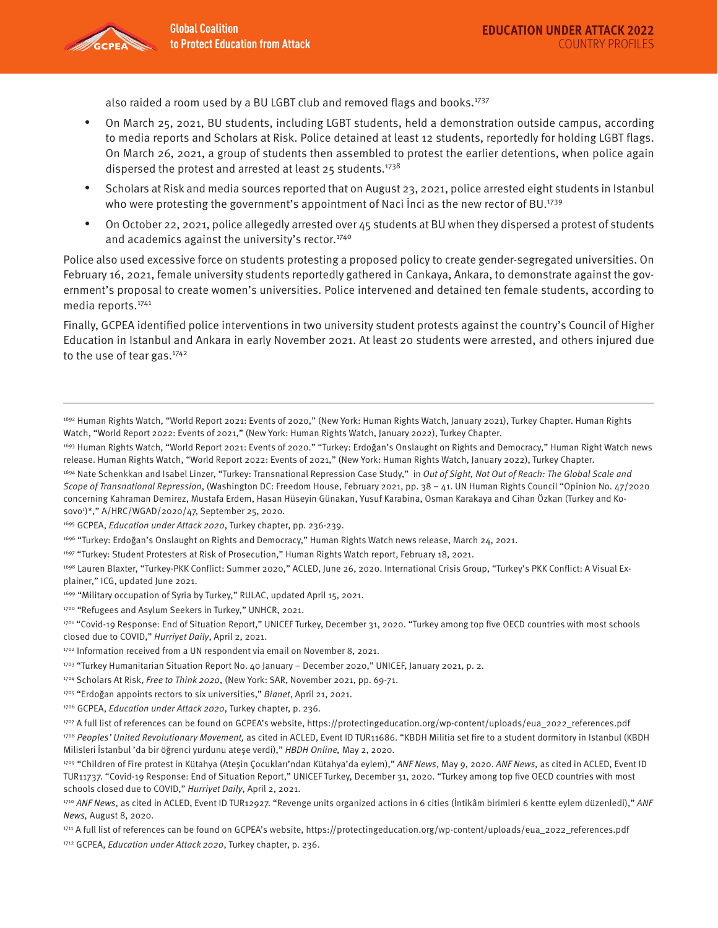

also raided a room used by a BU LGBT club and removed flags and books.<sup>1737</sup>

- On March 25, 2021, BU students, including LGBT students, held a demonstration outside campus, according to media reports and Scholars at Risk. Police detained at least 12 students, reportedly for holding LGBT flags. On March 26, 2021, a group of students then assembled to protest the earlier detentions, when police again dispersed the protest and arrested at least 25 students.<sup>1738</sup>
- Scholars at Risk and media sources reported that on August 23, 2021, police arrested eight students in Istanbul who were protesting the government's appointment of Naci Inci as the new rector of BU.<sup>1739</sup>
- On October 22, 2021, police allegedly arrested over 45 students at BU when they dispersed a protest of students and academics against the university's rector.<sup>1740</sup>

Police also used excessive force on students protesting a proposed policy to create gender-segregated universities. On February 16, 2021, female university students reportedly gathered in Cankaya, Ankara, to demonstrate against the government's proposal to create women's universities. Police intervened and detained ten female students, according to media reports.1741

Finally, GCPEA identified police interventions in two university student protests against the country's Council of Higher Education in Istanbul and Ankara in early November 2021. At least 20 students were arrested, and others injured due to the use of tear gas.<sup>1742</sup>

1697 "Turkey: Student Protesters at Risk of Prosecution," Human Rights Watch report, February 18, 2021.

<sup>1692</sup> Human Rights Watch, "World Report 2021: Events of 2020," (New York: Human Rights Watch, January 2021), Turkey Chapter. Human Rights Watch, "World Report 2022: Events of 2021," (New York: Human Rights Watch, January 2022), Turkey Chapter.

<sup>1693</sup> Human Rights Watch, "World Report 2021: Events of 2020." "Turkey: Erdoğan's Onslaught on Rights and Democracy," Human Right Watch news release. Human Rights Watch, "World Report 2022: Events of 2021," (New York: Human Rights Watch, January 2022), Turkey Chapter.

<sup>&</sup>lt;sup>1694</sup> Nate Schenkkan and Isabel Linzer, "Turkey: Transnational Repression Case Study," in Out of Sight, Not Out of Reach: The Global Scale and Scope of Transnational Repression, (Washington DC: Freedom House, February 2021, pp. 38 – 41. UN Human Rights Council "Opinion No. 47/2020 concerning Kahraman Demirez, Mustafa Erdem, Hasan Hüseyin Günakan, Yusuf Karabina, Osman Karakaya and Cihan Özkan (Turkey and Kosovo1 )\*," A/HRC/WGAD/2020/47, September 25, 2020.

<sup>1695</sup> GCPEA, Education under Attack 2020, Turkey chapter, pp. 236-239.

<sup>1696 &</sup>quot;Turkey: Erdoğan's Onslaught on Rights and Democracy," Human Rights Watch news release, March 24, 2021.

<sup>1698</sup> Lauren Blaxter, "Turkey-PKK Conflict: Summer 2020," ACLED, June 26, 2020. International Crisis Group, "Turkey's PKK Conflict: A Visual Explainer," ICG, updated June 2021.

<sup>&</sup>lt;sup>1699</sup> "Military occupation of Syria by Turkey," RULAC, updated April 15, 2021.

<sup>1700 &</sup>quot;Refugees and Asylum Seekers in Turkey," UNHCR, 2021.

<sup>1701 &</sup>quot;Covid-19 Response: End of Situation Report," UNICEF Turkey, December 31, 2020. "Turkey among top five OECD countries with most schools closed due to COVID," Hurriyet Daily, April 2, 2021.

<sup>1702</sup> Information received from a UN respondent via email on November 8, 2021.

<sup>1703 &</sup>quot;Turkey Humanitarian Situation Report No. 40 January – December 2020," UNICEF, January 2021, p. 2.

<sup>1704</sup> Scholars At Risk, Free to Think 2020, (New York: SAR, November 2021, pp. 69-71.

<sup>1705 &</sup>quot;Erdoğan appoints rectors to six universities," Bianet, April 21, 2021.

<sup>1706</sup> GCPEA, Education under Attack 2020, Turkey chapter, p. 236.

<sup>1707</sup> A full list of references can be found on GCPEA's website, https://protectingeducation.org/wp-content/uploads/eua\_2022\_references.pdf 1708 Peoples' United Revolutionary Movement, as cited in ACLED, Event ID TUR11686. "KBDH Militia set fire to a student dormitory in Istanbul (KBDH Milisleri İstanbul 'da bir öğrenci yurdunu ateşe verdi)," HBDH Online, May 2, 2020.

<sup>1709 &</sup>quot;Children of Fire protest in Kütahya (Atesin Cocukları'ndan Kütahya'da eylem)," ANF News, May 9, 2020. ANF News, as cited in ACLED, Event ID TUR11737. "Covid-19 Response: End of Situation Report," UNICEF Turkey, December 31, 2020. "Turkey among top five OECD countries with most schools closed due to COVID," Hurriyet Daily, April 2, 2021.

<sup>1710</sup> ANF News, as cited in ACLED, Event ID TUR12927. "Revenge units organized actions in 6 cities (Intikâm birimleri 6 kentte eylem düzenledi)," ANF News, August 8, 2020.

<sup>1711</sup> A full list of references can be found on GCPEA's website, https://protectingeducation.org/wp-content/uploads/eua\_2022\_references.pdf

<sup>1712</sup> GCPEA, Education under Attack 2020, Turkey chapter, p. 236.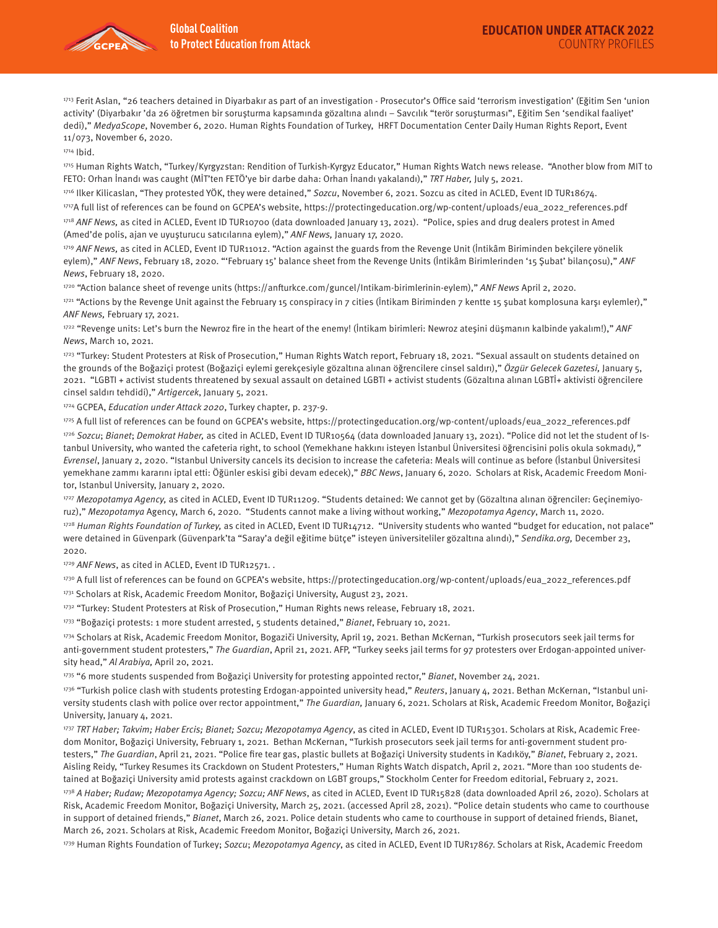

1713 Ferit Aslan, "26 teachers detained in Diyarbakır as part of an investigation - Prosecutor's Office said 'terrorism investigation' (Eğitim Sen 'union activity' (Diyarbakır 'da 26 öğretmen bir soruşturma kapsamında gözaltına alındı – Savcılık "terör soruşturması", Eğitim Sen 'sendikal faaliyet' dedi)," MedyaScope, November 6, 2020. Human Rights Foundation of Turkey, HRFT Documentation Center Daily Human Rights Report, Event 11/073, November 6, 2020.

1714 Ibid.

1715 Human Rights Watch, "Turkey/Kyrgyzstan: Rendition of Turkish-Kyrgyz Educator," Human Rights Watch news release. "Another blow from MIT to FETO: Orhan İnandı was caught (MİT'ten FETÖ'ye bir darbe daha: Orhan İnandı yakalandı)," TRT Haber, July 5, 2021.

1716 Ilker Kilicaslan, "They protested YÖK, they were detained," Sozcu, November 6, 2021. Sozcu as cited in ACLED, Event ID TUR18674. 1717A full list of references can be found on GCPEA's website, https://protectingeducation.org/wp-content/uploads/eua\_2022\_references.pdf 1718 ANF News, as cited in ACLED, Event ID TUR10700 (data downloaded January 13, 2021). "Police, spies and drug dealers protest in Amed (Amed'de polis, ajan ve uyuşturucu satıcılarına eylem)," ANF News, January 17, 2020.

1719 ANF News, as cited in ACLED, Event ID TUR11012. "Action against the guards from the Revenge Unit (İntikâm Biriminden bekçilere yönelik eylem)," ANF News, February 18, 2020. "'February 15' balance sheet from the Revenge Units (İntikâm Birimlerinden '15 Şubat' bilançosu)," ANF News, February 18, 2020.

1720 "Action balance sheet of revenge units (https://anfturkce.com/guncel/Intikam-birimlerinin-eylem)," ANF News April 2, 2020.

 $1721$  "Actions by the Revenge Unit against the February 15 conspiracy in 7 cities (İntikam Biriminden 7 kentte 15 şubat komplosuna karşı eylemler)," ANF News, February 17, 2021.

1722 "Revenge units: Let's burn the Newroz fire in the heart of the enemy! (İntikam birimleri: Newroz ateşini düşmanın kalbinde yakalım!)," ANF News, March 10, 2021.

1723 "Turkey: Student Protesters at Risk of Prosecution," Human Rights Watch report, February 18, 2021. "Sexual assault on students detained on the grounds of the Boğaziçi protest (Boğaziçi eylemi gerekçesiyle gözaltına alınan öğrencilere cinsel saldırı)," Özgür Gelecek Gazetesi, January 5, 2021. "LGBTI + activist students threatened by sexual assault on detained LGBTI + activist students (Gözaltına alınan LGBTİ+ aktivisti öğrencilere cinsel saldırı tehdidi)," Artigercek, January 5, 2021.

1724 GCPEA, Education under Attack 2020, Turkey chapter, p. 237-9.

1725 A full list of references can be found on GCPEA's website, https://protectingeducation.org/wp-content/uploads/eua\_2022\_references.pdf 1726 Sozcu; Bianet; Demokrat Haber, as cited in ACLED, Event ID TUR10564 (data downloaded January 13, 2021). "Police did not let the student of Istanbul University, who wanted the cafeteria right, to school (Yemekhane hakkını isteyen İstanbul Üniversitesi öğrencisini polis okula sokmadı)," Evrensel, January 2, 2020. "Istanbul University cancels its decision to increase the cafeteria: Meals will continue as before (İstanbul Üniversitesi yemekhane zammı kararını iptal etti: Öğünler eskisi gibi devam edecek)," BBC News, January 6, 2020. Scholars at Risk, Academic Freedom Monitor, Istanbul University, January 2, 2020.

1727 Mezopotamya Agency, as cited in ACLED, Event ID TUR11209. "Students detained: We cannot get by (Gözaltına alınan öğrenciler: Geçinemiyoruz)," Mezopotamya Agency, March 6, 2020. "Students cannot make a living without working," Mezopotamya Agency, March 11, 2020.

1728 Human Rights Foundation of Turkey, as cited in ACLED, Event ID TUR14712. "University students who wanted "budget for education, not palace" were detained in Güvenpark (Güvenpark'ta "Saray'a değil eğitime bütce" isteyen üniversiteliler gözaltına alındı)," Sendika.org, December 23, 2020.

1729 ANF News, as cited in ACLED, Event ID TUR12571..

173º A full list of references can be found on GCPEA's website, https://protectingeducation.org/wp-content/uploads/eua\_2022\_references.pdf

1731 Scholars at Risk, Academic Freedom Monitor, Boğaziçi University, August 23, 2021.

1732 "Turkey: Student Protesters at Risk of Prosecution," Human Rights news release, February 18, 2021.

1733 "Boğaziçi protests: 1 more student arrested, 5 students detained," Bianet, February 10, 2021.

1734 Scholars at Risk, Academic Freedom Monitor, Bogaziči University, April 19, 2021. Bethan McKernan, "Turkish prosecutors seek jail terms for anti-government student protesters," The Guardian, April 21, 2021. AFP, "Turkey seeks jail terms for 97 protesters over Erdogan-appointed university head," Al Arabiya, April 20, 2021.

1735 "6 more students suspended from Boğaziçi University for protesting appointed rector," Bianet, November 24, 2021.

1736 "Turkish police clash with students protesting Erdogan-appointed university head," Reuters, January 4, 2021. Bethan McKernan, "Istanbul university students clash with police over rector appointment," The Guardian, January 6, 2021. Scholars at Risk, Academic Freedom Monitor, Boğaziçi University, January 4, 2021.

1737 TRT Haber; Takvim; Haber Ercis; Bianet; Sozcu; Mezopotamya Agency, as cited in ACLED, Event ID TUR15301. Scholars at Risk, Academic Freedom Monitor, Boğaziçi University, February 1, 2021. Bethan McKernan, "Turkish prosecutors seek jail terms for anti-government student protesters," The Guardian, April 21, 2021. "Police fire tear gas, plastic bullets at Boğaziçi University students in Kadıköy," Bianet, February 2, 2021. Aisling Reidy, "Turkey Resumes its Crackdown on Student Protesters," Human Rights Watch dispatch, April 2, 2021. "More than 100 students detained at Boğaziçi University amid protests against crackdown on LGBT groups," Stockholm Center for Freedom editorial, February 2, 2021.

1738 A Haber; Rudaw; Mezopotamya Agency; Sozcu; ANF News, as cited in ACLED, Event ID TUR15828 (data downloaded April 26, 2020). Scholars at Risk, Academic Freedom Monitor, Boğaziçi University, March 25, 2021. (accessed April 28, 2021). "Police detain students who came to courthouse in support of detained friends," Bianet, March 26, 2021. Police detain students who came to courthouse in support of detained friends, Bianet, March 26, 2021. Scholars at Risk, Academic Freedom Monitor, Boğaziçi University, March 26, 2021.

1739 Human Rights Foundation of Turkey; Sozcu; Mezopotamya Agency, as cited in ACLED, Event ID TUR17867. Scholars at Risk, Academic Freedom